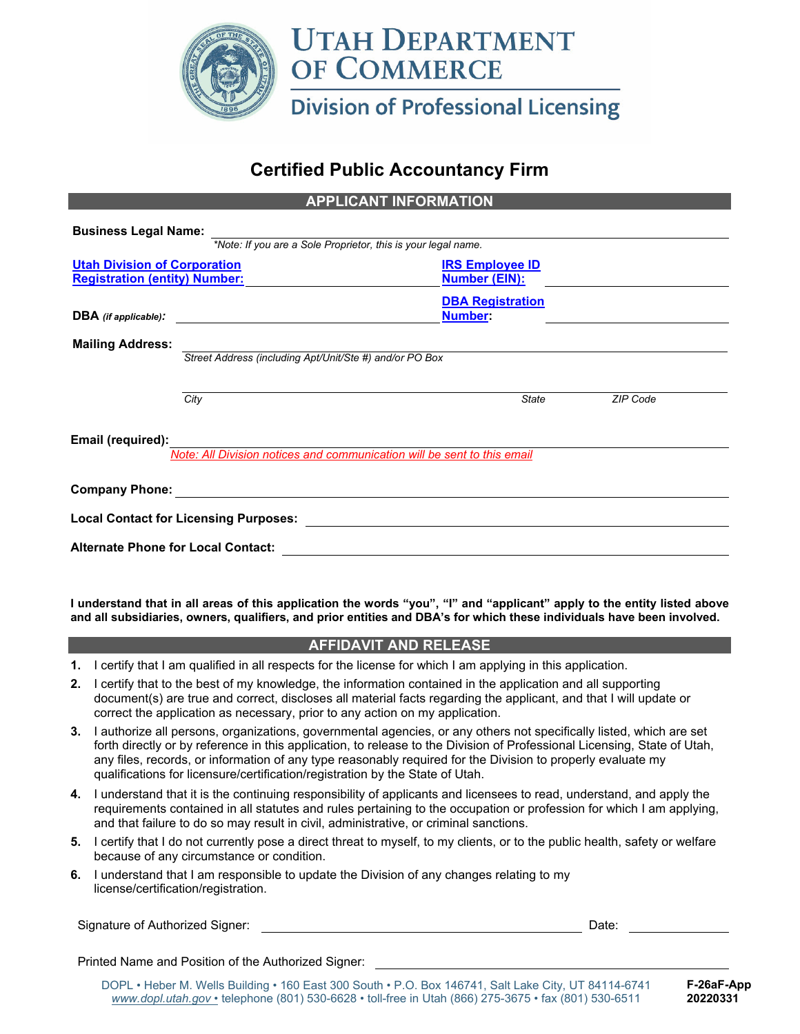

# **Certified Public Accountancy Firm**

**APPLICANT INFORMATION** 

| <b>Business Legal Name:</b>               |                                                         |                                                                         |          |
|-------------------------------------------|---------------------------------------------------------|-------------------------------------------------------------------------|----------|
|                                           |                                                         | *Note: If you are a Sole Proprietor, this is your legal name.           |          |
| <b>Utah Division of Corporation</b>       |                                                         | <b>IRS Employee ID</b>                                                  |          |
| <b>Registration (entity) Number:</b>      |                                                         | <b>Number (EIN):</b>                                                    |          |
|                                           |                                                         | <b>DBA Registration</b>                                                 |          |
| $DBA$ (if applicable):                    |                                                         | <b>Number:</b>                                                          |          |
| <b>Mailing Address:</b>                   |                                                         |                                                                         |          |
|                                           | Street Address (including Apt/Unit/Ste #) and/or PO Box |                                                                         |          |
|                                           |                                                         |                                                                         |          |
|                                           | City                                                    | <b>State</b>                                                            | ZIP Code |
| Email (required):                         |                                                         |                                                                         |          |
|                                           |                                                         | Note: All Division notices and communication will be sent to this email |          |
| <b>Company Phone:</b>                     |                                                         |                                                                         |          |
|                                           | <b>Local Contact for Licensing Purposes:</b>            |                                                                         |          |
| <b>Alternate Phone for Local Contact:</b> |                                                         |                                                                         |          |

**I understand that in all areas of this application the words "you", "I" and "applicant" apply to the entity listed above and all subsidiaries, owners, qualifiers, and prior entities and DBA's for which these individuals have been involved.** 

## **AFFIDAVIT AND RELEASE**

- **1.** I certify that I am qualified in all respects for the license for which I am applying in this application.
- **2.** I certify that to the best of my knowledge, the information contained in the application and all supporting document(s) are true and correct, discloses all material facts regarding the applicant, and that I will update or correct the application as necessary, prior to any action on my application.
- **3.** I authorize all persons, organizations, governmental agencies, or any others not specifically listed, which are set forth directly or by reference in this application, to release to the Division of Professional Licensing, State of Utah, any files, records, or information of any type reasonably required for the Division to properly evaluate my qualifications for licensure/certification/registration by the State of Utah.
- **4.** I understand that it is the continuing responsibility of applicants and licensees to read, understand, and apply the requirements contained in all statutes and rules pertaining to the occupation or profession for which I am applying, and that failure to do so may result in civil, administrative, or criminal sanctions.
- **5.** I certify that I do not currently pose a direct threat to myself, to my clients, or to the public health, safety or welfare because of any circumstance or condition.
- **6.** I understand that I am responsible to update the Division of any changes relating to my license/certification/registration.

Signature of Authorized Signer: **Date:** Date: Date: Date: Date: Date: Date: Date: Date: Date: Date: Date: Date: Date: Date: Date: Date: Date: Date: Date: Date: Date: Date: Date: Date: Date: Date: Date: Date: Date: Date: Da

Printed Name and Position of the Authorized Signer:

DOPL • Heber M. Wells Building • 160 East 300 South • P.O. Box 146741, Salt Lake City, UT 84114-6741 *www.dopl.utah.gov* • telephone (801) 530-6628 • toll-free in Utah (866) 275-3675 • fax (801) 530-6511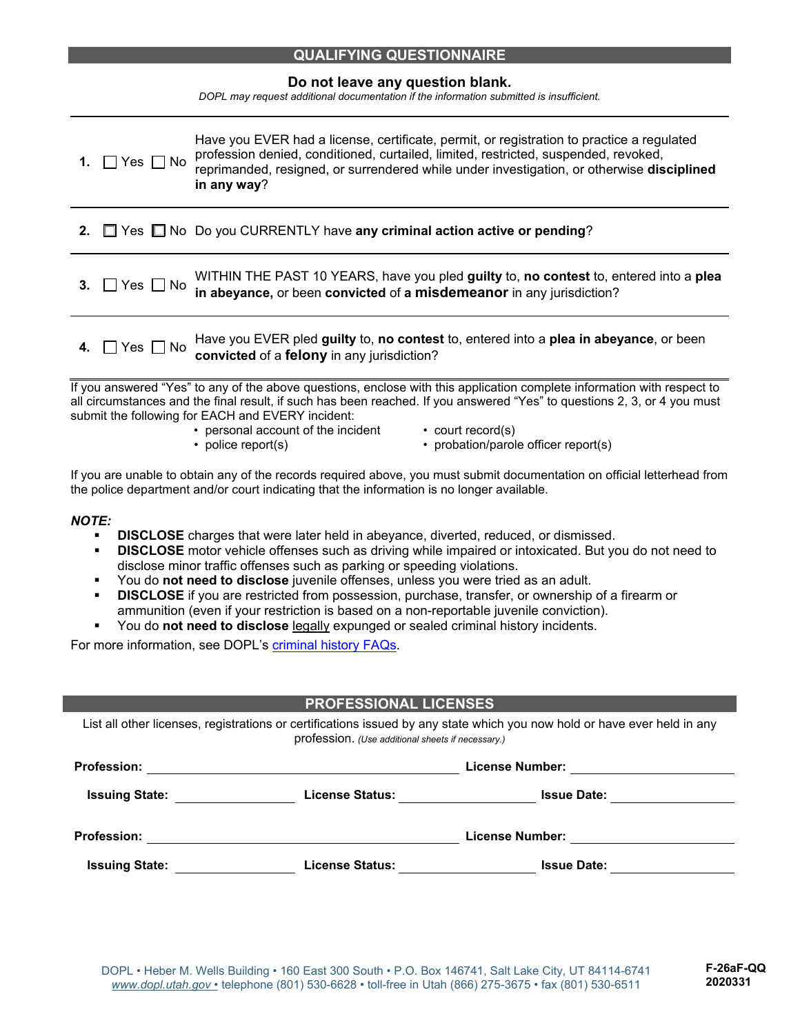| <b>QUALIFYING QUESTIONNAIRE</b> |
|---------------------------------|
|---------------------------------|

**Do not leave any question blank.** 

*DOPL may request additional documentation if the information submitted is insufficient.* 

| 1. | $\Box$ Yes $\Box$ No    | Have you EVER had a license, certificate, permit, or registration to practice a regulated<br>profession denied, conditioned, curtailed, limited, restricted, suspended, revoked,<br>reprimanded, resigned, or surrendered while under investigation, or otherwise disciplined<br>in any way? |
|----|-------------------------|----------------------------------------------------------------------------------------------------------------------------------------------------------------------------------------------------------------------------------------------------------------------------------------------|
|    |                         | 2. T Yes No Do you CURRENTLY have any criminal action active or pending?                                                                                                                                                                                                                     |
|    | 3. $\Box$ Yes $\Box$ No | WITHIN THE PAST 10 YEARS, have you pled guilty to, no contest to, entered into a plea<br>in abeyance, or been convicted of a misdemeanor in any jurisdiction?                                                                                                                                |
|    |                         | 4. $\Box$ Yes $\Box$ No Have you EVER pled guilty to, no contest to, entered into a plea in abeyance, or been convicted of a felony in any jurisdiction?                                                                                                                                     |
|    |                         | lf vou answered "Yes" to any of the above questions, enclose with this annlication complete information with respect to                                                                                                                                                                      |

d "Yes" to any of the above questions, enclose with this application complete information with respect to all circumstances and the final result, if such has been reached. If you answered "Yes" to questions 2, 3, or 4 you must submit the following for EACH and EVERY incident:

- personal account of the incident
- police report(s)
- court record(s)
- probation/parole officer report(s)

If you are unable to obtain any of the records required above, you must submit documentation on official letterhead from the police department and/or court indicating that the information is no longer available.

#### *NOTE:*

- **DISCLOSE** charges that were later held in abeyance, diverted, reduced, or dismissed.
- **DISCLOSE** motor vehicle offenses such as driving while impaired or intoxicated. But you do not need to disclose minor traffic offenses such as parking or speeding violations.
- You do **not need to disclose** juvenile offenses, unless you were tried as an adult.
- **DISCLOSE** if you are restricted from possession, purchase, transfer, or ownership of a firearm or ammunition (even if your restriction is based on a non-reportable juvenile conviction).
- You do **not need to disclose** legally expunged or sealed criminal history incidents.

For more information, see DOPL's criminal history FAQs.

## **PROFESSIONAL LICENSES**

| List all other licenses, registrations or certifications issued by any state which you now hold or have ever held in any |
|--------------------------------------------------------------------------------------------------------------------------|
| profession. (Use additional sheets if necessary.)                                                                        |

| <b>Profession:</b>    |                        | <b>License Number:</b> |  |
|-----------------------|------------------------|------------------------|--|
| <b>Issuing State:</b> | <b>License Status:</b> | <b>Issue Date:</b>     |  |
| <b>Profession:</b>    |                        | License Number:        |  |
| <b>Issuing State:</b> | <b>License Status:</b> | <b>Issue Date:</b>     |  |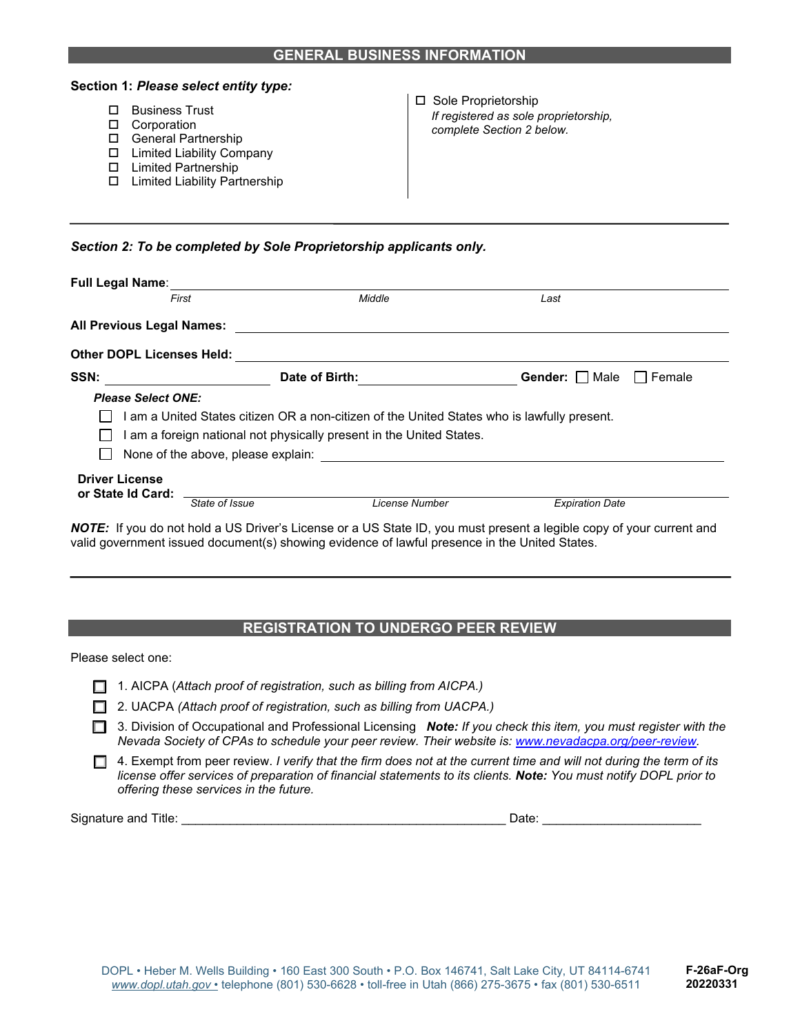|        | Section 1: Please select entity type:                                                                                                                                 |                                                                                             |
|--------|-----------------------------------------------------------------------------------------------------------------------------------------------------------------------|---------------------------------------------------------------------------------------------|
| $\Box$ | <b>Business Trust</b><br>Corporation<br><b>General Partnership</b><br><b>Limited Liability Company</b><br><b>Limited Partnership</b><br>Limited Liability Partnership | □ Sole Proprietorship<br>If registered as sole proprietorship,<br>complete Section 2 below. |

*Section 2: To be completed by Sole Proprietorship applicants only.* 

| <b>Full Legal Name:</b>                      |                |                                                                                             |                  |          |
|----------------------------------------------|----------------|---------------------------------------------------------------------------------------------|------------------|----------|
| First                                        |                | Middle                                                                                      | Last             |          |
| All Previous Legal Names:                    |                |                                                                                             |                  |          |
| <b>Other DOPL Licenses Held:</b>             |                |                                                                                             |                  |          |
| SSN:                                         | Date of Birth: |                                                                                             | Gender:     Male | I Female |
| <b>Please Select ONE:</b>                    |                |                                                                                             |                  |          |
|                                              |                | I am a United States citizen OR a non-citizen of the United States who is lawfully present. |                  |          |
|                                              |                | am a foreign national not physically present in the United States.                          |                  |          |
|                                              |                |                                                                                             |                  |          |
|                                              |                | None of the above, please explain: None of the above, please explain:                       |                  |          |
| <b>Driver License</b><br>or State Id Card: _ |                |                                                                                             |                  |          |

## **REGISTRATION TO UNDERGO PEER REVIEW**

Please select one:

|  |  |  |  |  | $\Box$ 1. AICPA (Attach proof of registration, such as billing from AICPA.) |  |  |  |
|--|--|--|--|--|-----------------------------------------------------------------------------|--|--|--|
|--|--|--|--|--|-----------------------------------------------------------------------------|--|--|--|

- 2. UACPA *(Attach proof of registration, such as billing from UACPA.)*
- 3. Division of Occupational and Professional Licensing *Note: If you check this item, you must register with the Nevada Society of CPAs to schedule your peer review. Their website is: www.nevadacpa.org/peer-review.*
- 4. Exempt from peer review. *I verify that the firm does not at the current time and will not during the term of its license offer services of preparation of financial statements to its clients. Note: You must notify DOPL prior to offering these services in the future.*

Signature and Title: \_\_\_\_\_\_\_\_\_\_\_\_\_\_\_\_\_\_\_\_\_\_\_\_\_\_\_\_\_\_\_\_\_\_\_\_\_\_\_\_\_\_\_\_\_\_\_ Date: \_\_\_\_\_\_\_\_\_\_\_\_\_\_\_\_\_\_\_\_\_\_\_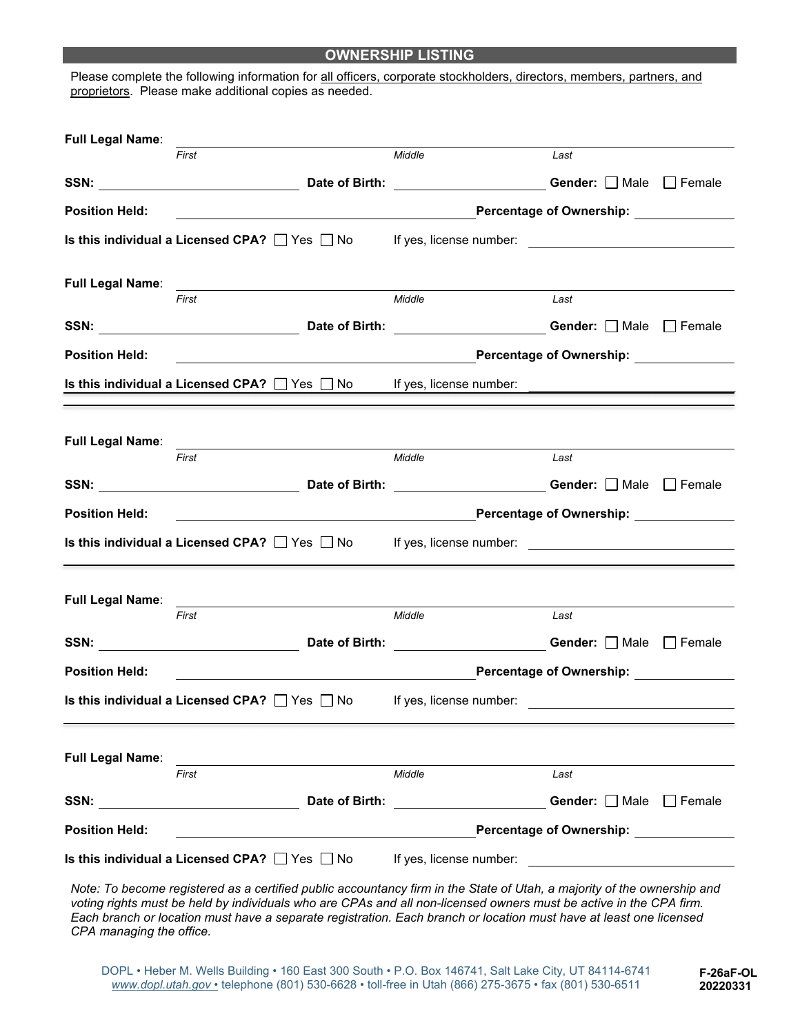#### **OWNERSHIP LISTING**

Please complete the following information for all officers, corporate stockholders, directors, members, partners, and proprietors. Please make additional copies as needed.

| Full Legal Name:        |                                                                                                                                                         |                                          |                                                |  |
|-------------------------|---------------------------------------------------------------------------------------------------------------------------------------------------------|------------------------------------------|------------------------------------------------|--|
|                         | First                                                                                                                                                   | Middle                                   | Last                                           |  |
|                         |                                                                                                                                                         |                                          |                                                |  |
| <b>Position Held:</b>   | <u> 1989 - Johann Stoff, deutscher Stoffen und der Stoffen und der Stoffen und der Stoffen und der Stoffen und der</u>                                  |                                          | <b>Percentage of Ownership:</b>                |  |
|                         |                                                                                                                                                         |                                          |                                                |  |
| <b>Full Legal Name:</b> |                                                                                                                                                         |                                          |                                                |  |
|                         | First                                                                                                                                                   | Middle                                   | Last                                           |  |
|                         | SSN: Nale Discovery Date of Birth: National Conder: Discovery Male Discovery Discovery Date of Birth: National Conder: Discovery Male Discovery Permale |                                          |                                                |  |
| <b>Position Held:</b>   | <u> 1989 - Johann Barn, fransk politik amerikansk politik (</u>                                                                                         |                                          | <b>Percentage of Ownership:</b>                |  |
|                         | <b>Is this individual a Licensed CPA?</b> $\Box$ Yes $\Box$ No If yes, license number:                                                                  |                                          |                                                |  |
|                         |                                                                                                                                                         |                                          |                                                |  |
| <b>Full Legal Name:</b> |                                                                                                                                                         |                                          |                                                |  |
|                         | First                                                                                                                                                   | Middle                                   | Last                                           |  |
|                         | SSN: SSN: Nate of Birth: 2000 Cender: □ Male □ Female                                                                                                   |                                          |                                                |  |
|                         |                                                                                                                                                         |                                          |                                                |  |
| <b>Position Held:</b>   | <u> 1989 - Johann Stoff, Amerikaansk politiker (* 1908)</u>                                                                                             |                                          |                                                |  |
|                         | Is this individual a Licensed CPA? □ Yes □ No If yes, license number: _____________________________                                                     |                                          |                                                |  |
|                         |                                                                                                                                                         |                                          |                                                |  |
|                         |                                                                                                                                                         |                                          |                                                |  |
|                         | First                                                                                                                                                   | Middle                                   | Last                                           |  |
|                         | SSN: <u>Nate of Birth: Nate of Birth: Communication</u> Gender: Device Difference                                                                       |                                          |                                                |  |
| <b>Position Held:</b>   | <u> 1980 - Johann Barn, fransk politik (d. 1980)</u>                                                                                                    |                                          | <b>Percentage of Ownership:</b>                |  |
|                         | Is this individual a Licensed CPA? $\Box$ Yes $\Box$ No If yes, license number:                                                                         |                                          |                                                |  |
|                         |                                                                                                                                                         |                                          |                                                |  |
|                         |                                                                                                                                                         |                                          |                                                |  |
| Full Legal Name:        | First                                                                                                                                                   | Middle                                   | Last                                           |  |
|                         | SSN: Date of Birth:                                                                                                                                     | <u>Cender:</u> Male Female Male → Female |                                                |  |
| <b>Position Held:</b>   |                                                                                                                                                         |                                          | Percentage of Ownership: Network of Ownership: |  |

*Note: To become registered as a certified public accountancy firm in the State of Utah, a majority of the ownership and voting rights must be held by individuals who are CPAs and all non-licensed owners must be active in the CPA firm. Each branch or location must have a separate registration. Each branch or location must have at least one licensed CPA managing the office.*